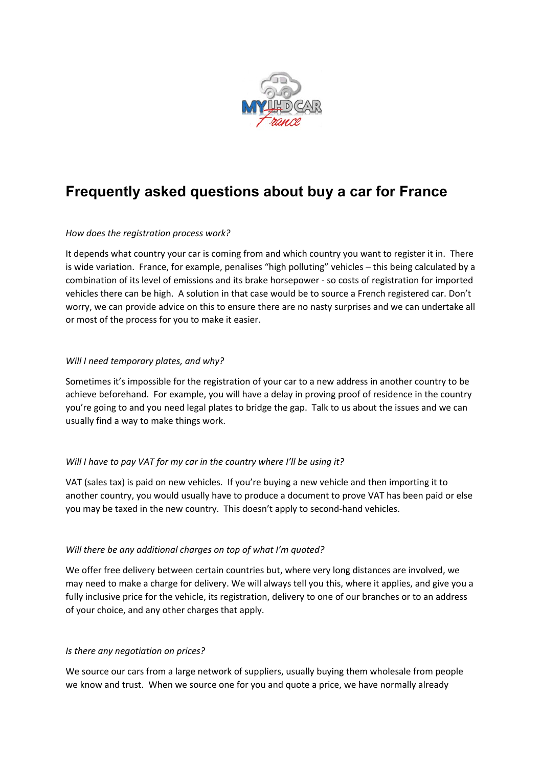

# **Frequently asked questions about buy a car for France**

# *How does the registration process work?*

It depends what country your car is coming from and which country you want to register it in. There is wide variation. France, for example, penalises "high polluting" vehicles – this being calculated by a combination of its level of emissions and its brake horsepower - so costs of registration for imported vehicles there can be high. A solution in that case would be to source a French registered car. Don't worry, we can provide advice on this to ensure there are no nasty surprises and we can undertake all or most of the process for you to make it easier.

## *Will I need temporary plates, and why?*

Sometimes it's impossible for the registration of your car to a new address in another country to be achieve beforehand. For example, you will have a delay in proving proof of residence in the country you're going to and you need legal plates to bridge the gap. Talk to us about the issues and we can usually find a way to make things work.

# *Will I have to pay VAT for my car in the country where I'll be using it?*

VAT (sales tax) is paid on new vehicles. If you're buying a new vehicle and then importing it to another country, you would usually have to produce a document to prove VAT has been paid or else you may be taxed in the new country. This doesn't apply to second-hand vehicles.

# *Will there be any additional charges on top of what I'm quoted?*

We offer free delivery between certain countries but, where very long distances are involved, we may need to make a charge for delivery. We will always tell you this, where it applies, and give you a fully inclusive price for the vehicle, its registration, delivery to one of our branches or to an address of your choice, and any other charges that apply.

#### *Is there any negotiation on prices?*

We source our cars from a large network of suppliers, usually buying them wholesale from people we know and trust. When we source one for you and quote a price, we have normally already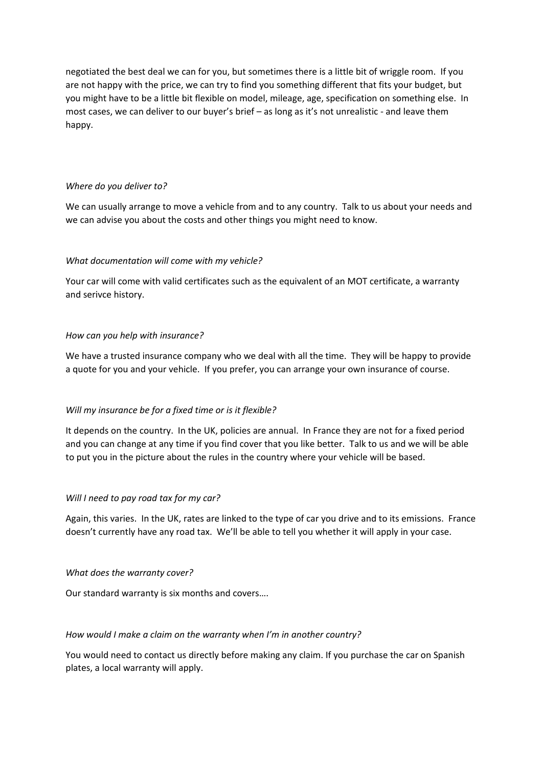negotiated the best deal we can for you, but sometimes there is a little bit of wriggle room. If you are not happy with the price, we can try to find you something different that fits your budget, but you might have to be a little bit flexible on model, mileage, age, specification on something else. In most cases, we can deliver to our buyer's brief – as long as it's not unrealistic - and leave them happy.

#### *Where do you deliver to?*

We can usually arrange to move a vehicle from and to any country. Talk to us about your needs and we can advise you about the costs and other things you might need to know.

#### *What documentation will come with my vehicle?*

Your car will come with valid certificates such as the equivalent of an MOT certificate, a warranty and serivce history.

#### *How can you help with insurance?*

We have a trusted insurance company who we deal with all the time. They will be happy to provide a quote for you and your vehicle. If you prefer, you can arrange your own insurance of course.

#### *Will my insurance be for a fixed time or is it flexible?*

It depends on the country. In the UK, policies are annual. In France they are not for a fixed period and you can change at any time if you find cover that you like better. Talk to us and we will be able to put you in the picture about the rules in the country where your vehicle will be based.

#### *Will I need to pay road tax for my car?*

Again, this varies. In the UK, rates are linked to the type of car you drive and to its emissions. France doesn't currently have any road tax. We'll be able to tell you whether it will apply in your case.

#### *What does the warranty cover?*

Our standard warranty is six months and covers….

#### *How would I make a claim on the warranty when I'm in another country?*

You would need to contact us directly before making any claim. If you purchase the car on Spanish plates, a local warranty will apply.